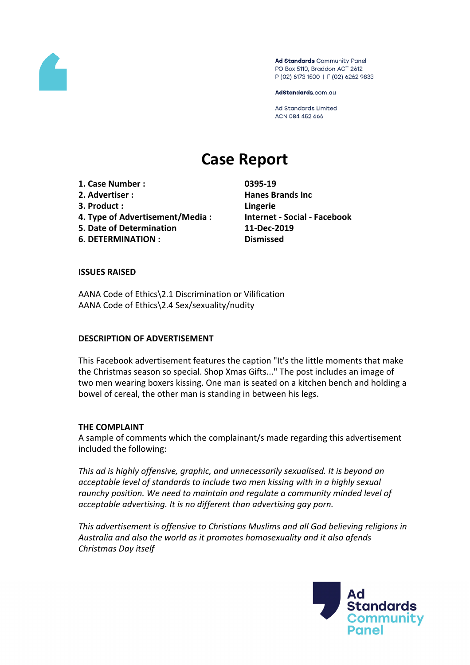

Ad Standards Community Panel PO Box 5110, Braddon ACT 2612 P (02) 6173 1500 | F (02) 6262 9833

AdStandards.com.au

Ad Standards Limited ACN 084 452 666

# **Case Report**

**1. Case Number : 0395-19 2. Advertiser : Hanes Brands Inc 3. Product : Lingerie 4. Type of Advertisement/Media : Internet - Social - Facebook 5. Date of Determination 11-Dec-2019**

**6. DETERMINATION : Dismissed**

## **ISSUES RAISED**

AANA Code of Ethics\2.1 Discrimination or Vilification AANA Code of Ethics\2.4 Sex/sexuality/nudity

## **DESCRIPTION OF ADVERTISEMENT**

This Facebook advertisement features the caption "It's the little moments that make the Christmas season so special. Shop Xmas Gifts..." The post includes an image of two men wearing boxers kissing. One man is seated on a kitchen bench and holding a bowel of cereal, the other man is standing in between his legs.

## **THE COMPLAINT**

A sample of comments which the complainant/s made regarding this advertisement included the following:

*This ad is highly offensive, graphic, and unnecessarily sexualised. It is beyond an acceptable level of standards to include two men kissing with in a highly sexual raunchy position. We need to maintain and regulate a community minded level of acceptable advertising. It is no different than advertising gay porn.*

*This advertisement is offensive to Christians Muslims and all God believing religions in Australia and also the world as it promotes homosexuality and it also afends Christmas Day itself*

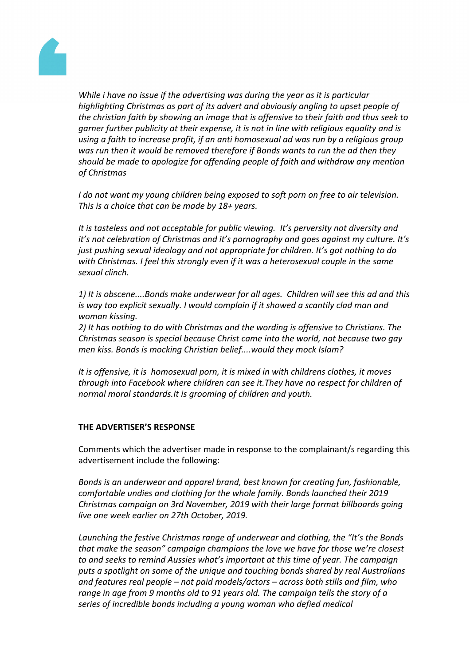

*While i have no issue if the advertising was during the year as it is particular highlighting Christmas as part of its advert and obviously angling to upset people of the christian faith by showing an image that is offensive to their faith and thus seek to garner further publicity at their expense, it is not in line with religious equality and is using a faith to increase profit, if an anti homosexual ad was run by a religious group was run then it would be removed therefore if Bonds wants to run the ad then they should be made to apologize for offending people of faith and withdraw any mention of Christmas*

*I do not want my young children being exposed to soft porn on free to air television. This is a choice that can be made by 18+ years.*

*It is tasteless and not acceptable for public viewing. It's perversity not diversity and it's not celebration of Christmas and it's pornography and goes against my culture. It's just pushing sexual ideology and not appropriate for children. It's got nothing to do with Christmas. I feel this strongly even if it was a heterosexual couple in the same sexual clinch.*

*1) It is obscene....Bonds make underwear for all ages. Children will see this ad and this is way too explicit sexually. I would complain if it showed a scantily clad man and woman kissing.*

*2) It has nothing to do with Christmas and the wording is offensive to Christians. The Christmas season is special because Christ came into the world, not because two gay men kiss. Bonds is mocking Christian belief....would they mock Islam?*

*It is offensive, it is homosexual porn, it is mixed in with childrens clothes, it moves through into Facebook where children can see it.They have no respect for children of normal moral standards.It is grooming of children and youth.*

## **THE ADVERTISER'S RESPONSE**

Comments which the advertiser made in response to the complainant/s regarding this advertisement include the following:

*Bonds is an underwear and apparel brand, best known for creating fun, fashionable, comfortable undies and clothing for the whole family. Bonds launched their 2019 Christmas campaign on 3rd November, 2019 with their large format billboards going live one week earlier on 27th October, 2019.*

*Launching the festive Christmas range of underwear and clothing, the "It's the Bonds that make the season" campaign champions the love we have for those we're closest to and seeks to remind Aussies what's important at this time of year. The campaign puts a spotlight on some of the unique and touching bonds shared by real Australians and features real people – not paid models/actors – across both stills and film, who range in age from 9 months old to 91 years old. The campaign tells the story of a series of incredible bonds including a young woman who defied medical*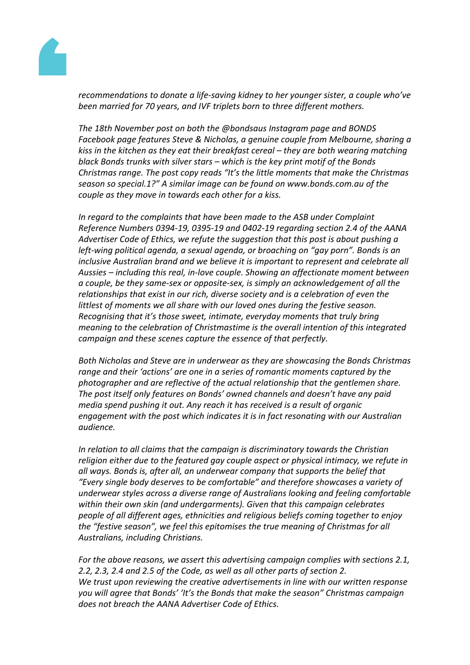

*recommendations to donate a life-saving kidney to her younger sister, a couple who've been married for 70 years, and IVF triplets born to three different mothers.*

*The 18th November post on both the @bondsaus Instagram page and BONDS Facebook page features Steve & Nicholas, a genuine couple from Melbourne, sharing a kiss in the kitchen as they eat their breakfast cereal – they are both wearing matching black Bonds trunks with silver stars – which is the key print motif of the Bonds Christmas range. The post copy reads "It's the little moments that make the Christmas season so special.1?" A similar image can be found on www.bonds.com.au of the couple as they move in towards each other for a kiss.*

*In regard to the complaints that have been made to the ASB under Complaint Reference Numbers 0394-19, 0395-19 and 0402-19 regarding section 2.4 of the AANA Advertiser Code of Ethics, we refute the suggestion that this post is about pushing a left-wing political agenda, a sexual agenda, or broaching on "gay porn". Bonds is an inclusive Australian brand and we believe it is important to represent and celebrate all Aussies – including this real, in-love couple. Showing an affectionate moment between a couple, be they same-sex or opposite-sex, is simply an acknowledgement of all the relationships that exist in our rich, diverse society and is a celebration of even the littlest of moments we all share with our loved ones during the festive season. Recognising that it's those sweet, intimate, everyday moments that truly bring meaning to the celebration of Christmastime is the overall intention of this integrated campaign and these scenes capture the essence of that perfectly.*

*Both Nicholas and Steve are in underwear as they are showcasing the Bonds Christmas range and their 'actions' are one in a series of romantic moments captured by the photographer and are reflective of the actual relationship that the gentlemen share. The post itself only features on Bonds' owned channels and doesn't have any paid media spend pushing it out. Any reach it has received is a result of organic engagement with the post which indicates it is in fact resonating with our Australian audience.* 

*In relation to all claims that the campaign is discriminatory towards the Christian religion either due to the featured gay couple aspect or physical intimacy, we refute in all ways. Bonds is, after all, an underwear company that supports the belief that "Every single body deserves to be comfortable" and therefore showcases a variety of underwear styles across a diverse range of Australians looking and feeling comfortable within their own skin (and undergarments). Given that this campaign celebrates people of all different ages, ethnicities and religious beliefs coming together to enjoy the "festive season", we feel this epitomises the true meaning of Christmas for all Australians, including Christians.*

*For the above reasons, we assert this advertising campaign complies with sections 2.1, 2.2, 2.3, 2.4 and 2.5 of the Code, as well as all other parts of section 2. We trust upon reviewing the creative advertisements in line with our written response you will agree that Bonds' 'It's the Bonds that make the season" Christmas campaign does not breach the AANA Advertiser Code of Ethics.*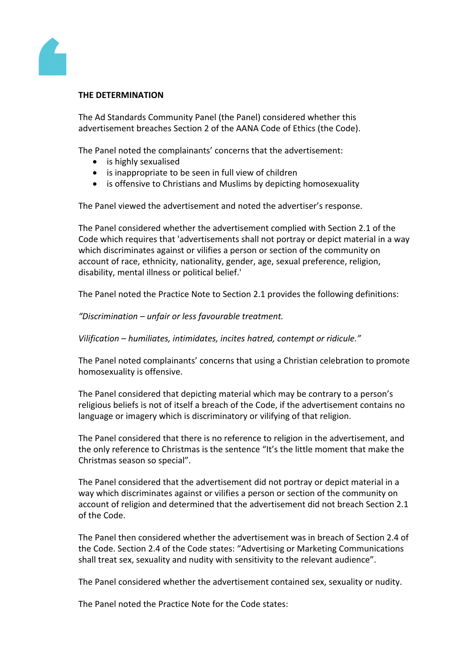

### **THE DETERMINATION**

The Ad Standards Community Panel (the Panel) considered whether this advertisement breaches Section 2 of the AANA Code of Ethics (the Code).

The Panel noted the complainants' concerns that the advertisement:

- is highly sexualised
- is inappropriate to be seen in full view of children
- is offensive to Christians and Muslims by depicting homosexuality

The Panel viewed the advertisement and noted the advertiser's response.

The Panel considered whether the advertisement complied with Section 2.1 of the Code which requires that 'advertisements shall not portray or depict material in a way which discriminates against or vilifies a person or section of the community on account of race, ethnicity, nationality, gender, age, sexual preference, religion, disability, mental illness or political belief.'

The Panel noted the Practice Note to Section 2.1 provides the following definitions:

*"Discrimination – unfair or less favourable treatment.*

*Vilification – humiliates, intimidates, incites hatred, contempt or ridicule."* 

The Panel noted complainants' concerns that using a Christian celebration to promote homosexuality is offensive.

The Panel considered that depicting material which may be contrary to a person's religious beliefs is not of itself a breach of the Code, if the advertisement contains no language or imagery which is discriminatory or vilifying of that religion.

The Panel considered that there is no reference to religion in the advertisement, and the only reference to Christmas is the sentence "It's the little moment that make the Christmas season so special".

The Panel considered that the advertisement did not portray or depict material in a way which discriminates against or vilifies a person or section of the community on account of religion and determined that the advertisement did not breach Section 2.1 of the Code.

The Panel then considered whether the advertisement was in breach of Section 2.4 of the Code. Section 2.4 of the Code states: "Advertising or Marketing Communications shall treat sex, sexuality and nudity with sensitivity to the relevant audience".

The Panel considered whether the advertisement contained sex, sexuality or nudity.

The Panel noted the Practice Note for the Code states: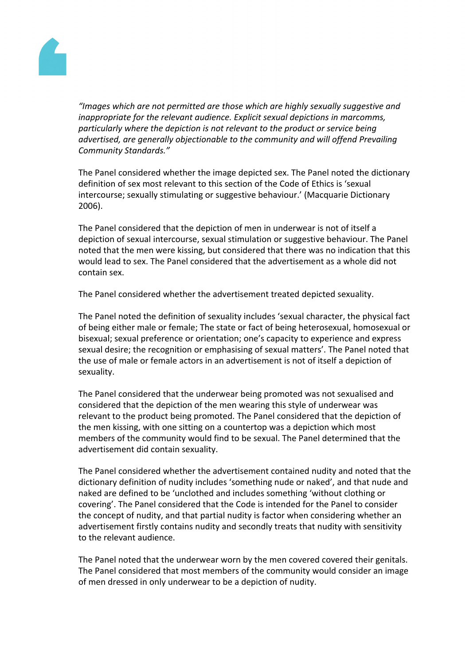

*"Images which are not permitted are those which are highly sexually suggestive and inappropriate for the relevant audience. Explicit sexual depictions in marcomms, particularly where the depiction is not relevant to the product or service being advertised, are generally objectionable to the community and will offend Prevailing Community Standards."*

The Panel considered whether the image depicted sex. The Panel noted the dictionary definition of sex most relevant to this section of the Code of Ethics is 'sexual intercourse; sexually stimulating or suggestive behaviour.' (Macquarie Dictionary 2006).

The Panel considered that the depiction of men in underwear is not of itself a depiction of sexual intercourse, sexual stimulation or suggestive behaviour. The Panel noted that the men were kissing, but considered that there was no indication that this would lead to sex. The Panel considered that the advertisement as a whole did not contain sex.

The Panel considered whether the advertisement treated depicted sexuality.

The Panel noted the definition of sexuality includes 'sexual character, the physical fact of being either male or female; The state or fact of being heterosexual, homosexual or bisexual; sexual preference or orientation; one's capacity to experience and express sexual desire; the recognition or emphasising of sexual matters'. The Panel noted that the use of male or female actors in an advertisement is not of itself a depiction of sexuality.

The Panel considered that the underwear being promoted was not sexualised and considered that the depiction of the men wearing this style of underwear was relevant to the product being promoted. The Panel considered that the depiction of the men kissing, with one sitting on a countertop was a depiction which most members of the community would find to be sexual. The Panel determined that the advertisement did contain sexuality.

The Panel considered whether the advertisement contained nudity and noted that the dictionary definition of nudity includes 'something nude or naked', and that nude and naked are defined to be 'unclothed and includes something 'without clothing or covering'. The Panel considered that the Code is intended for the Panel to consider the concept of nudity, and that partial nudity is factor when considering whether an advertisement firstly contains nudity and secondly treats that nudity with sensitivity to the relevant audience.

The Panel noted that the underwear worn by the men covered covered their genitals. The Panel considered that most members of the community would consider an image of men dressed in only underwear to be a depiction of nudity.